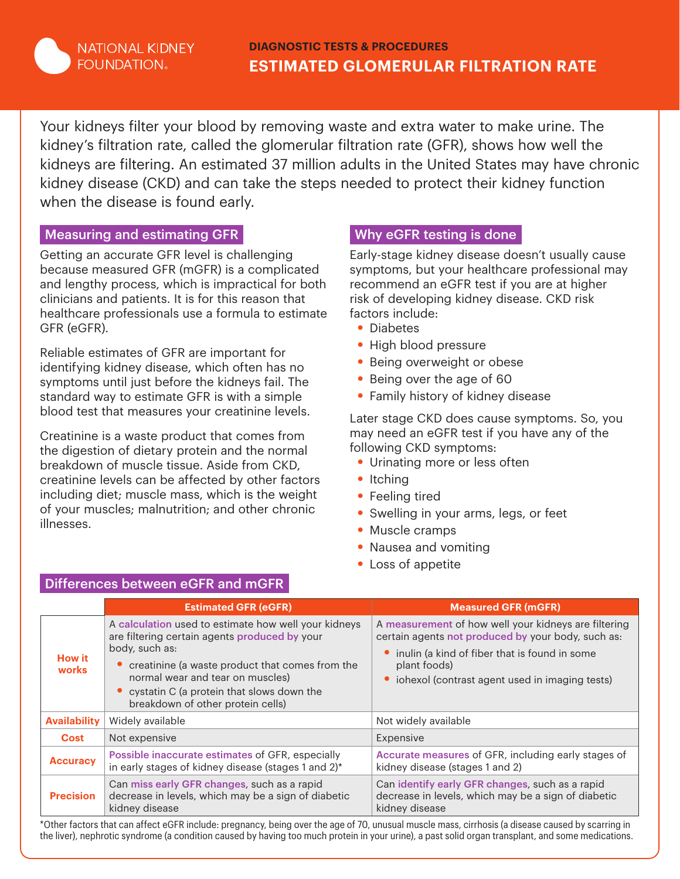

Your kidneys filter your blood by removing waste and extra water to make urine. The kidney's filtration rate, called the glomerular filtration rate (GFR), shows how well the kidneys are filtering. An estimated 37 million adults in the United States may have chronic kidney disease (CKD) and can take the steps needed to protect their kidney function when the disease is found early.

### Measuring and estimating GFR

Getting an accurate GFR level is challenging because measured GFR (mGFR) is a complicated and lengthy process, which is impractical for both clinicians and patients. It is for this reason that healthcare professionals use a formula to estimate GFR (eGFR).

Reliable estimates of GFR are important for identifying kidney disease, which often has no symptoms until just before the kidneys fail. The standard way to estimate GFR is with a simple blood test that measures your creatinine levels.

Creatinine is a waste product that comes from the digestion of dietary protein and the normal breakdown of muscle tissue. Aside from CKD, creatinine levels can be affected by other factors including diet; muscle mass, which is the weight of your muscles; malnutrition; and other chronic illnesses.

## Why eGFR testing is done

Early-stage kidney disease doesn't usually cause symptoms, but your healthcare professional may recommend an eGFR test if you are at higher risk of developing kidney disease. CKD risk factors include:

- **•** Diabetes
- **•** High blood pressure
- **•** Being overweight or obese
- **•** Being over the age of 60
- **•** Family history of kidney disease

Later stage CKD does cause symptoms. So, you may need an eGFR test if you have any of the following CKD symptoms:

- **•** Urinating more or less often
- **•** Itching
- **•** Feeling tired
- **•** Swelling in your arms, legs, or feet
- **•** Muscle cramps
- **•** Nausea and vomiting
- **•** Loss of appetite

|                        | <b>Estimated GFR (eGFR)</b>                                                                                                                                                                                                                                                                        | <b>Measured GFR (mGFR)</b>                                                                                                                                                                                                      |  |  |
|------------------------|----------------------------------------------------------------------------------------------------------------------------------------------------------------------------------------------------------------------------------------------------------------------------------------------------|---------------------------------------------------------------------------------------------------------------------------------------------------------------------------------------------------------------------------------|--|--|
| <b>How it</b><br>works | A calculation used to estimate how well your kidneys<br>are filtering certain agents produced by your<br>body, such as:<br>creatinine (a waste product that comes from the<br>normal wear and tear on muscles)<br>• cystatin C (a protein that slows down the<br>breakdown of other protein cells) | A measurement of how well your kidneys are filtering<br>certain agents not produced by your body, such as:<br>inulin (a kind of fiber that is found in some<br>plant foods)<br>• iohexol (contrast agent used in imaging tests) |  |  |
| <b>Availability</b>    | Widely available                                                                                                                                                                                                                                                                                   | Not widely available                                                                                                                                                                                                            |  |  |
| <b>Cost</b>            | Not expensive                                                                                                                                                                                                                                                                                      | Expensive                                                                                                                                                                                                                       |  |  |
| <b>Accuracy</b>        | Possible inaccurate estimates of GFR, especially<br>in early stages of kidney disease (stages 1 and 2)*                                                                                                                                                                                            | Accurate measures of GFR, including early stages of<br>kidney disease (stages 1 and 2)                                                                                                                                          |  |  |
| <b>Precision</b>       | Can miss early GFR changes, such as a rapid<br>decrease in levels, which may be a sign of diabetic<br>kidney disease                                                                                                                                                                               | Can identify early GFR changes, such as a rapid<br>decrease in levels, which may be a sign of diabetic<br>kidney disease                                                                                                        |  |  |

### Differences between eGFR and mGFR

Other factors that can affect eGFR include: pregnancy, being over the age of 70, unusual muscle mass, cirrhosis (a disease caused by scarring in the liver), nephrotic syndrome (a condition caused by having too much protein in your urine), a past solid organ transplant, and some medications.